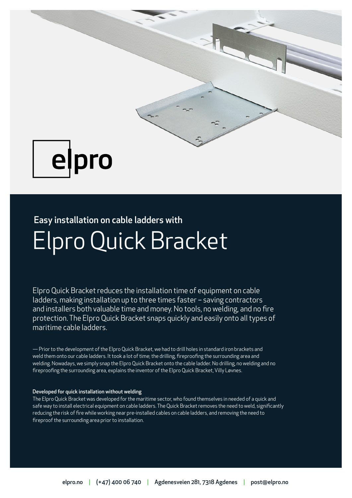

## pro e

# Elpro Quick Bracket Easy installation on cable ladders with

Elpro Quick Bracket reduces the installation time of equipment on cable ladders, making installation up to three times faster – saving contractors and installers both valuable time and money. No tools, no welding, and no fire protection. The Elpro Quick Bracket snaps quickly and easily onto all types of maritime cable ladders.

— Prior to the development of the Elpro Quick Bracket, we had to drill holes in standard iron brackets and weld them onto our cable ladders. It took a lot of time; the drilling, fireproofing the surrounding area and welding. Nowadays, we simply snap the Elpro Quick Bracket onto the cable ladder. No drilling, no welding and no fireproofing the surrounding area, explains the inventor of the Elpro Quick Bracket, Villy Løvnes.

#### Developed for quick installation without welding

The Elpro Quick Bracket was developed for the maritime sector, who found themselves in needed of a quick and safe way to install electrical equipment on cable ladders. The Quick Bracket removes the need to weld, significantly reducing the risk of fire while working near pre-installed cables on cable ladders, and removing the need to fireproof the surrounding area prior to installation.